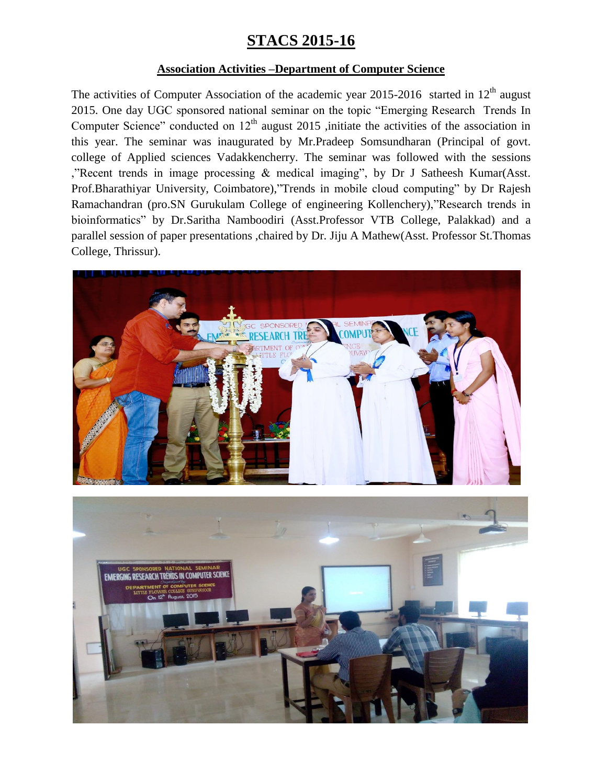## **STACS 2015-16**

## **Association Activities –Department of Computer Science**

The activities of Computer Association of the academic year  $2015-2016$  started in  $12<sup>th</sup>$  august 2015. One day UGC sponsored national seminar on the topic "Emerging Research Trends In Computer Science" conducted on  $12<sup>th</sup>$  august 2015 , initiate the activities of the association in this year. The seminar was inaugurated by Mr.Pradeep Somsundharan (Principal of govt. college of Applied sciences Vadakkencherry. The seminar was followed with the sessions ,"Recent trends in image processing & medical imaging", by Dr J Satheesh Kumar(Asst. Prof.Bharathiyar University, Coimbatore),"Trends in mobile cloud computing" by Dr Rajesh Ramachandran (pro.SN Gurukulam College of engineering Kollenchery),"Research trends in bioinformatics" by Dr.Saritha Namboodiri (Asst.Professor VTB College, Palakkad) and a parallel session of paper presentations ,chaired by Dr. Jiju A Mathew(Asst. Professor St.Thomas College, Thrissur).



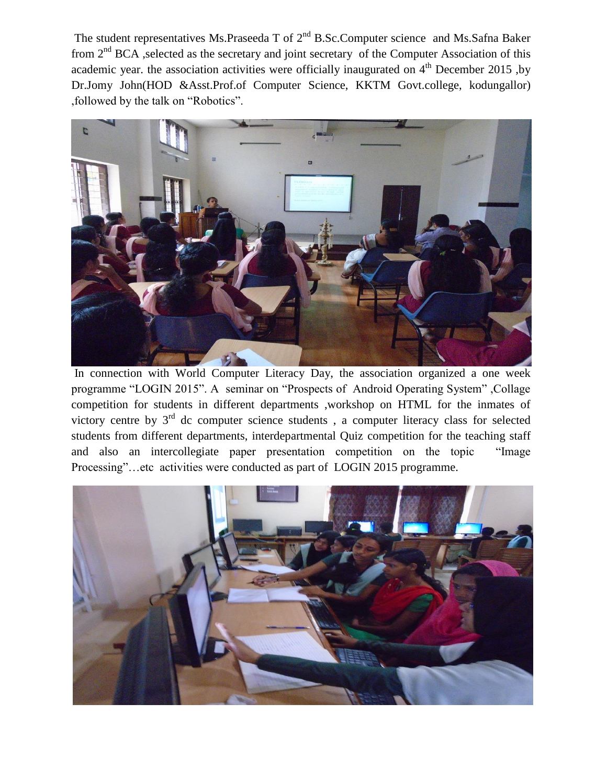The student representatives Ms.Praseeda T of  $2<sup>nd</sup>$  B.Sc.Computer science and Ms.Safna Baker from  $2<sup>nd</sup> BCA$ , selected as the secretary and joint secretary of the Computer Association of this academic year. the association activities were officially inaugurated on  $4<sup>th</sup>$  December 2015, by Dr.Jomy John(HOD &Asst.Prof.of Computer Science, KKTM Govt.college, kodungallor) ,followed by the talk on "Robotics".



In connection with World Computer Literacy Day, the association organized a one week programme "LOGIN 2015". A seminar on "Prospects of Android Operating System" ,Collage competition for students in different departments ,workshop on HTML for the inmates of victory centre by  $3<sup>rd</sup>$  dc computer science students, a computer literacy class for selected students from different departments, interdepartmental Quiz competition for the teaching staff and also an intercollegiate paper presentation competition on the topic "Image Processing"…etc activities were conducted as part of LOGIN 2015 programme.